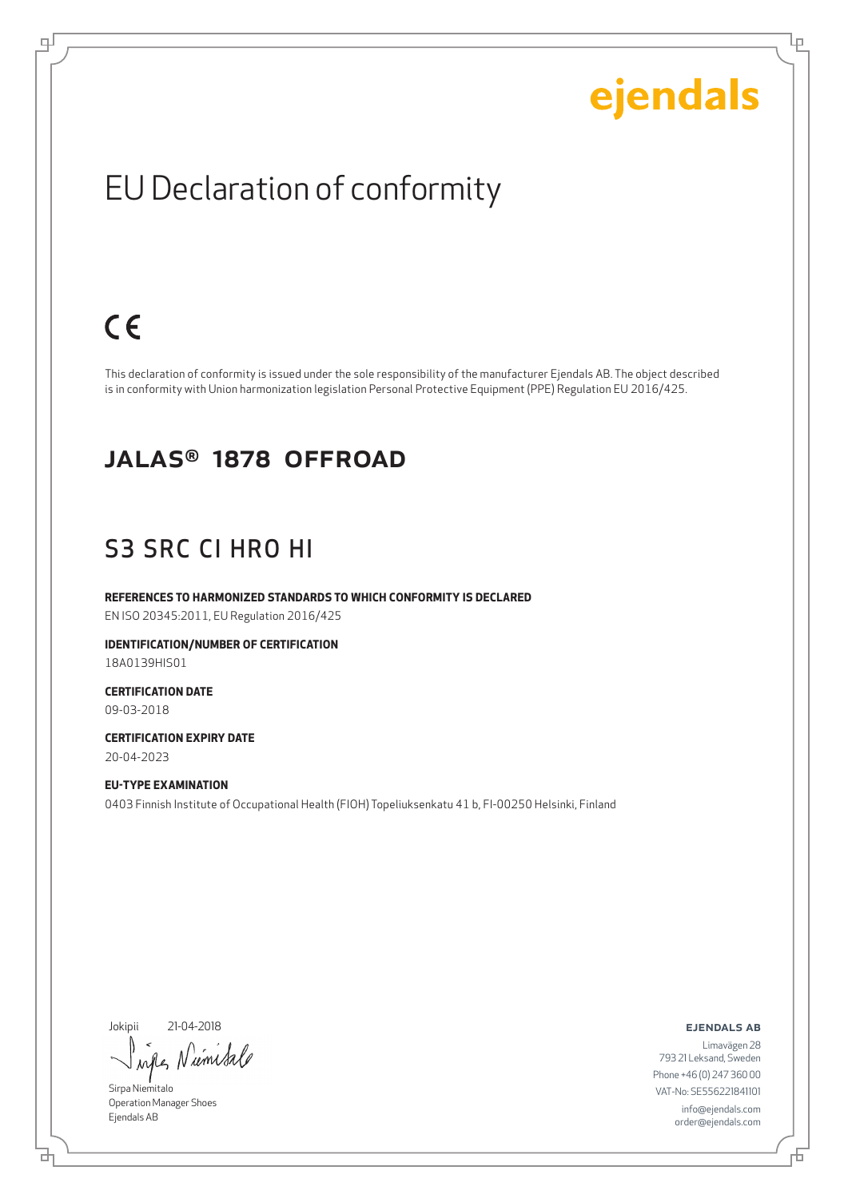Ļμ

### EU Declaration of conformity

### $C \in$

щĪ

This declaration of conformity is issued under the sole responsibility of the manufacturer Ejendals AB. The object described is in conformity with Union harmonization legislation Personal Protective Equipment (PPE) Regulation EU 2016/425.

#### JALAS® 1878 OFFROAD

#### S3 SRC CI HRO HI

**REFERENCES TO HARMONIZED STANDARDS TO WHICH CONFORMITY IS DECLARED**

EN ISO 20345:2011, EU Regulation 2016/425

**IDENTIFICATION/NUMBER OF CERTIFICATION** 18A0139HIS01

**CERTIFICATION DATE** 09-03-2018

**CERTIFICATION EXPIRY DATE** 20-04-2023

**EU-TYPE EXAMINATION** 0403 Finnish Institute of Occupational Health (FIOH) Topeliuksenkatu 41 b, FI-00250 Helsinki, Finland

Jokipii 21-04-2018

ums  $\lambda$ nd

Sirpa Niemitalo Operation Manager Shoes Ejendals AB

브

ejendals ab

舌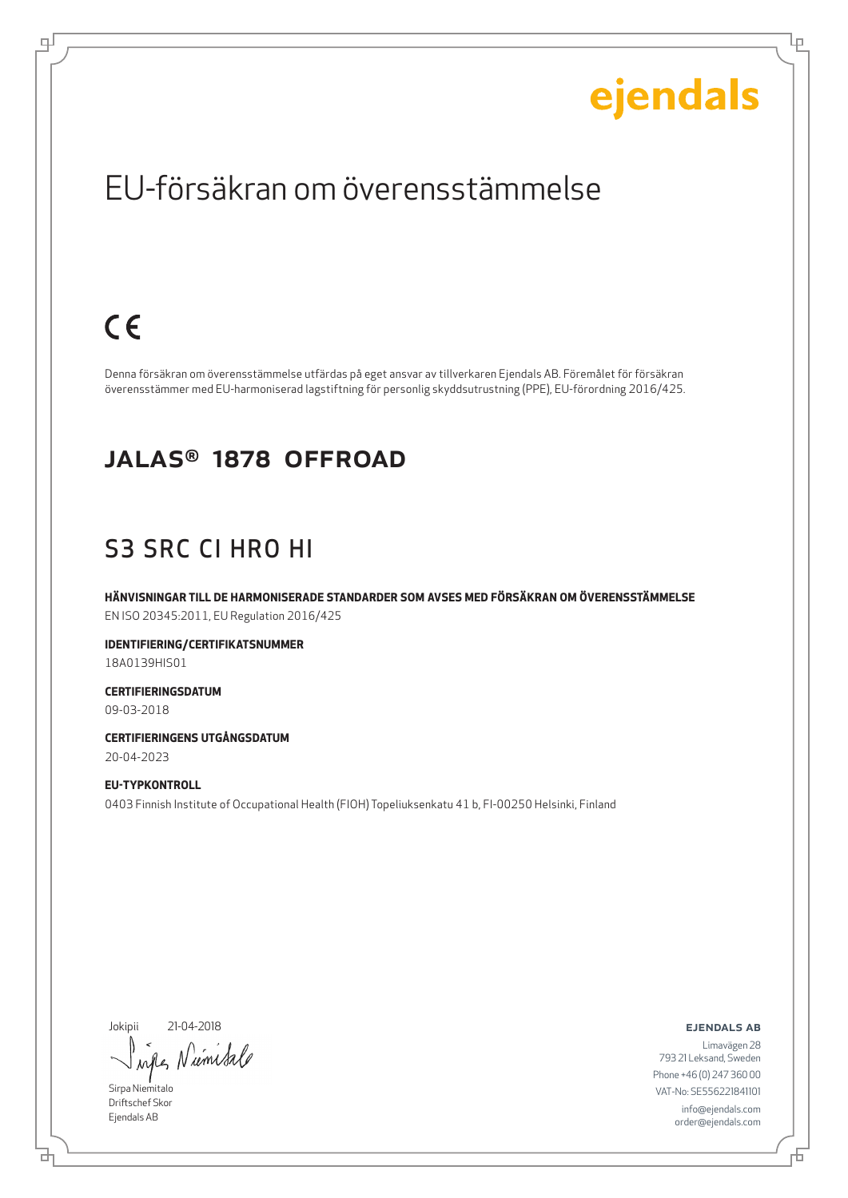Ļμ

### EU-försäkran om överensstämmelse

### $C \in$

щĪ

Denna försäkran om överensstämmelse utfärdas på eget ansvar av tillverkaren Ejendals AB. Föremålet för försäkran överensstämmer med EU-harmoniserad lagstiftning för personlig skyddsutrustning (PPE), EU-förordning 2016/425.

#### JALAS® 1878 OFFROAD

### S3 SRC CI HRO HI

**HÄNVISNINGAR TILL DE HARMONISERADE STANDARDER SOM AVSES MED FÖRSÄKRAN OM ÖVERENSSTÄMMELSE** EN ISO 20345:2011, EU Regulation 2016/425

**IDENTIFIERING/CERTIFIKATSNUMMER** 18A0139HIS01

**CERTIFIERINGSDATUM** 09-03-2018

**CERTIFIERINGENS UTGÅNGSDATUM** 20-04-2023

**EU-TYPKONTROLL** 0403 Finnish Institute of Occupational Health (FIOH) Topeliuksenkatu 41 b, FI-00250 Helsinki, Finland

Jokipii 21-04-2018

Niemitale when

Sirpa Niemitalo Driftschef Skor Ejendals AB

브

ejendals ab

Đ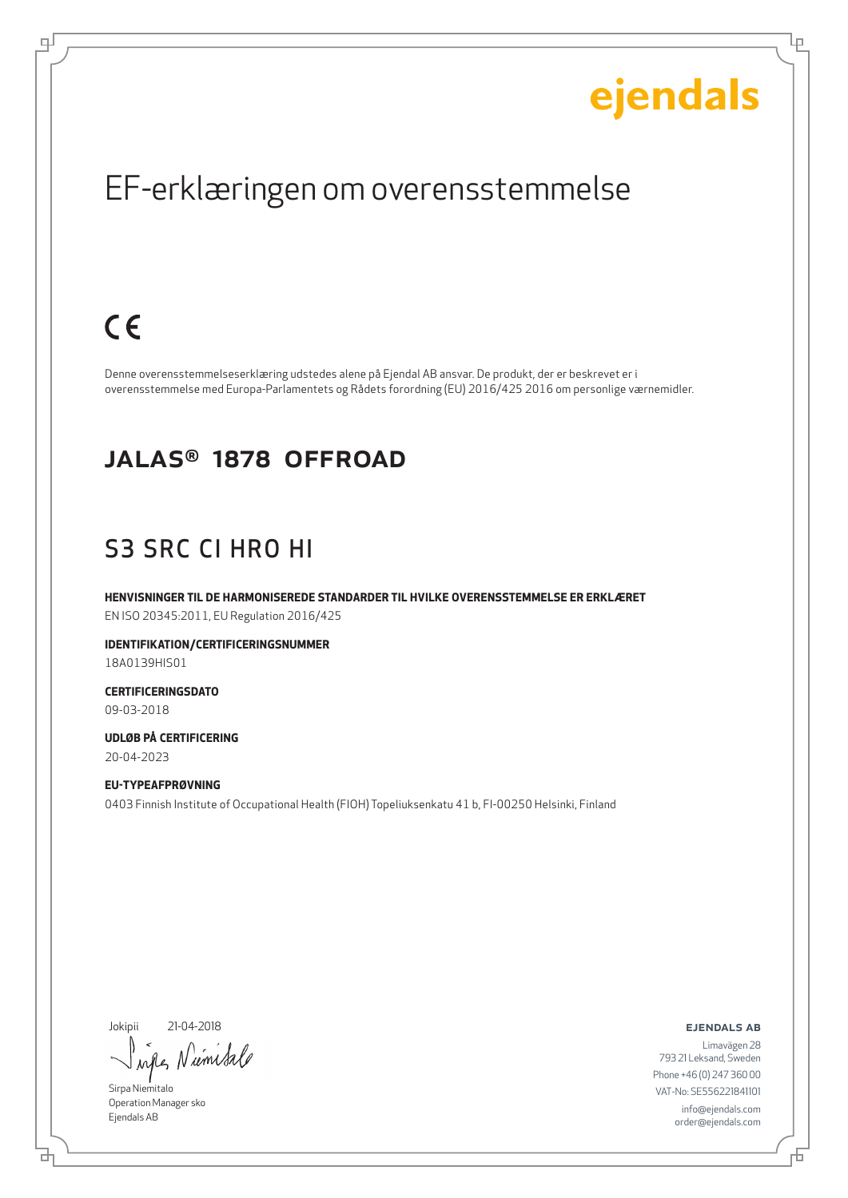Ļμ

### EF-erklæringen om overensstemmelse

### $C \in$

டி

Denne overensstemmelseserklæring udstedes alene på Ejendal AB ansvar. De produkt, der er beskrevet er i overensstemmelse med Europa-Parlamentets og Rådets forordning (EU) 2016/425 2016 om personlige værnemidler.

#### JALAS® 1878 OFFROAD

### S3 SRC CI HRO HI

**HENVISNINGER TIL DE HARMONISEREDE STANDARDER TIL HVILKE OVERENSSTEMMELSE ER ERKLÆRET** EN ISO 20345:2011, EU Regulation 2016/425

**IDENTIFIKATION/CERTIFICERINGSNUMMER** 18A0139HIS01

**CERTIFICERINGSDATO** 09-03-2018

**UDLØB PÅ CERTIFICERING** 20-04-2023

**EU-TYPEAFPRØVNING** 0403 Finnish Institute of Occupational Health (FIOH) Topeliuksenkatu 41 b, FI-00250 Helsinki, Finland

Jokipii 21-04-2018

ums  $\lambda$ all

Sirpa Niemitalo Operation Manager sko Ejendals AB

₫

ejendals ab

Đ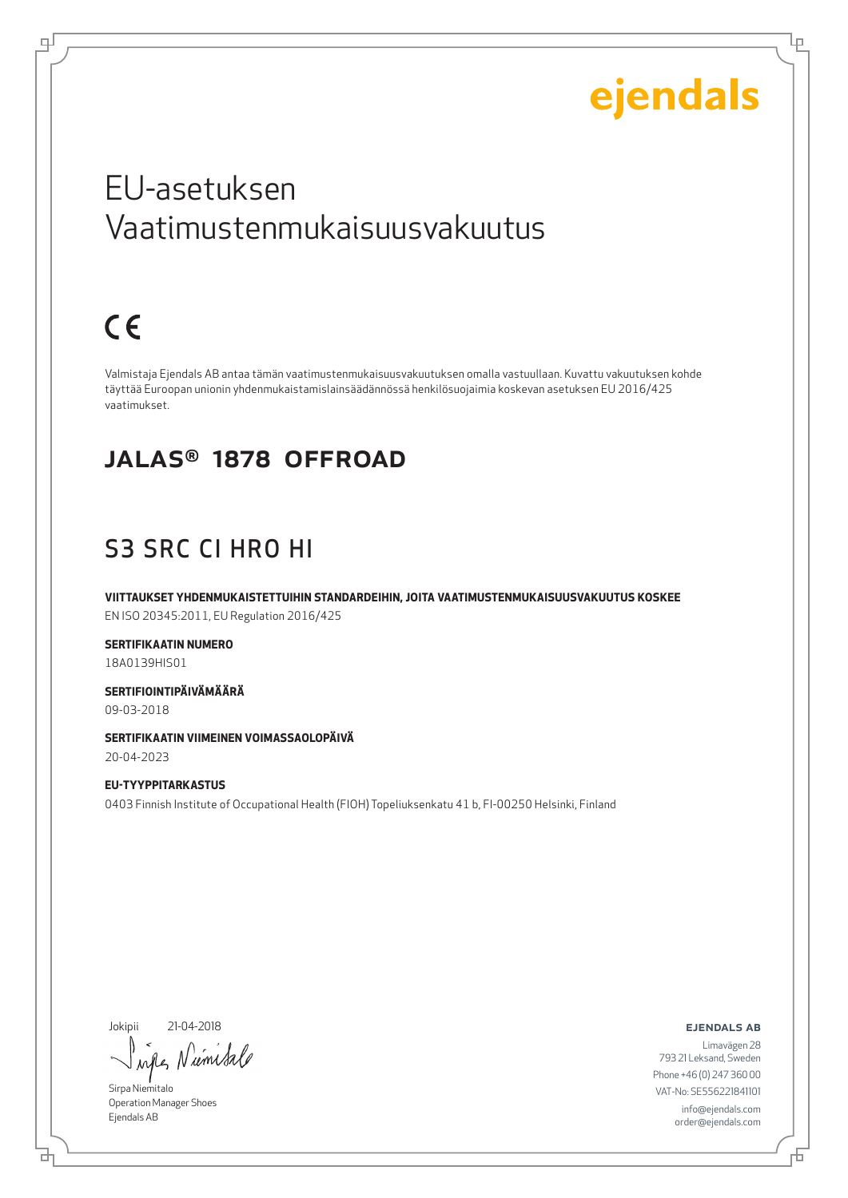Lр

### EU-asetuksen Vaatimustenmukaisuusvakuutus

## $C \in$

ᆗ

Valmistaja Ejendals AB antaa tämän vaatimustenmukaisuusvakuutuksen omalla vastuullaan. Kuvattu vakuutuksen kohde täyttää Euroopan unionin yhdenmukaistamislainsäädännössä henkilösuojaimia koskevan asetuksen EU 2016/425 vaatimukset.

#### JALAS® 1878 OFFROAD

### S3 SRC CI HRO HI

**VIITTAUKSET YHDENMUKAISTETTUIHIN STANDARDEIHIN, JOITA VAATIMUSTENMUKAISUUSVAKUUTUS KOSKEE** EN ISO 20345:2011, EU Regulation 2016/425

**SERTIFIKAATIN NUMERO**

18A0139HIS01

**SERTIFIOINTIPÄIVÄMÄÄRÄ** 09-03-2018

**SERTIFIKAATIN VIIMEINEN VOIMASSAOLOPÄIVÄ** 20-04-2023

**EU-TYYPPITARKASTUS** 0403 Finnish Institute of Occupational Health (FIOH) Topeliuksenkatu 41 b, FI-00250 Helsinki, Finland

Jokipii 21-04-2018

umisa  $\lambda$ all

Sirpa Niemitalo Operation Manager Shoes Ejendals AB

ejendals ab

Limavägen 28 793 21 Leksand, Sweden Phone +46 (0) 247 360 00 VAT-No: SE556221841101 info@ejendals.com order@ejendals.com

б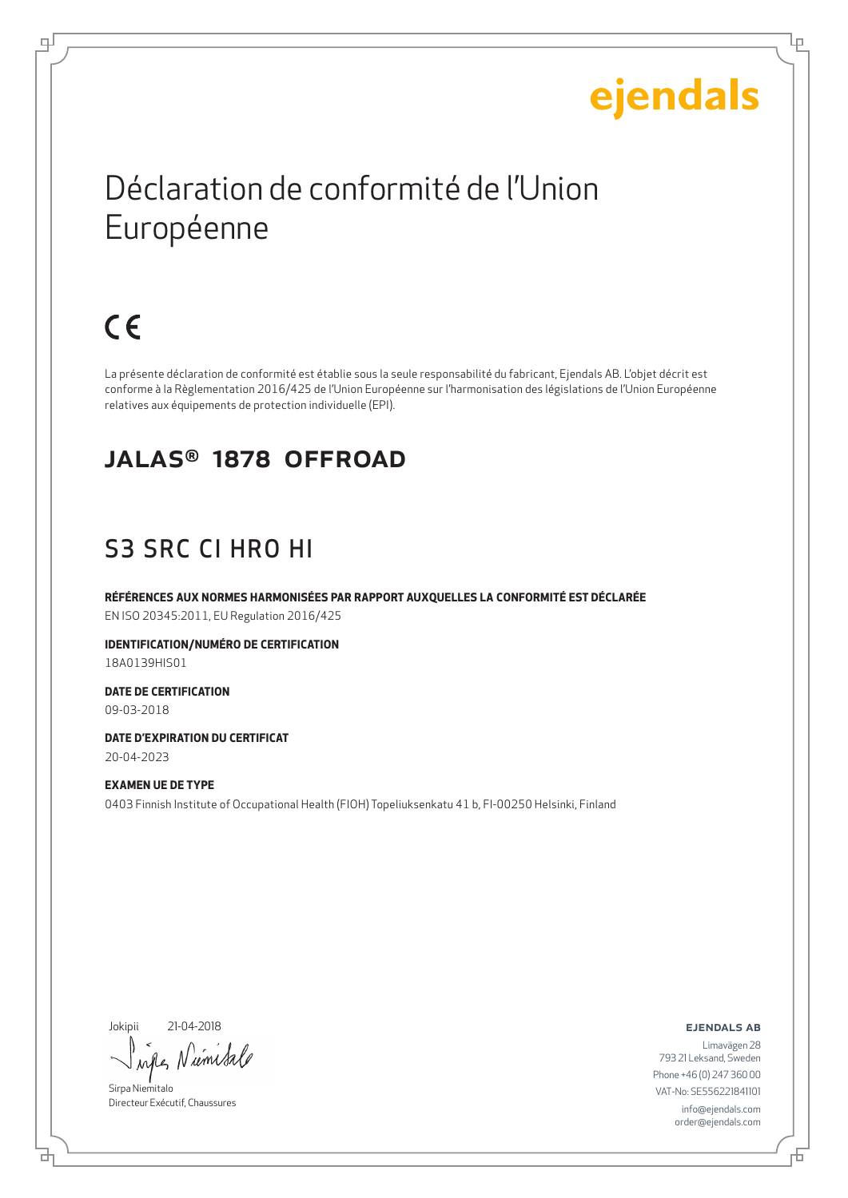Lр

### Déclaration de conformité de l'Union Européenne

## $C \in$

டி

La présente déclaration de conformité est établie sous la seule responsabilité du fabricant, Ejendals AB. L'objet décrit est conforme à la Règlementation 2016/425 de l'Union Européenne sur l'harmonisation des législations de l'Union Européenne relatives aux équipements de protection individuelle (EPI).

#### JALAS® 1878 OFFROAD

### S3 SRC CI HRO HI

**RÉFÉRENCES AUX NORMES HARMONISÉES PAR RAPPORT AUXQUELLES LA CONFORMITÉ EST DÉCLARÉE** EN ISO 20345:2011, EU Regulation 2016/425

**IDENTIFICATION/NUMÉRO DE CERTIFICATION** 18A0139HIS01

**DATE DE CERTIFICATION** 09-03-2018

**DATE D'EXPIRATION DU CERTIFICAT** 20-04-2023

**EXAMEN UE DE TYPE** 0403 Finnish Institute of Occupational Health (FIOH) Topeliuksenkatu 41 b, FI-00250 Helsinki, Finland

Jokipii 21-04-2018

umi  $\lambda$ <sup> $\Lambda$ </sup>

Sirpa Niemitalo Directeur Exécutif, Chaussures

ejendals ab

Đ

б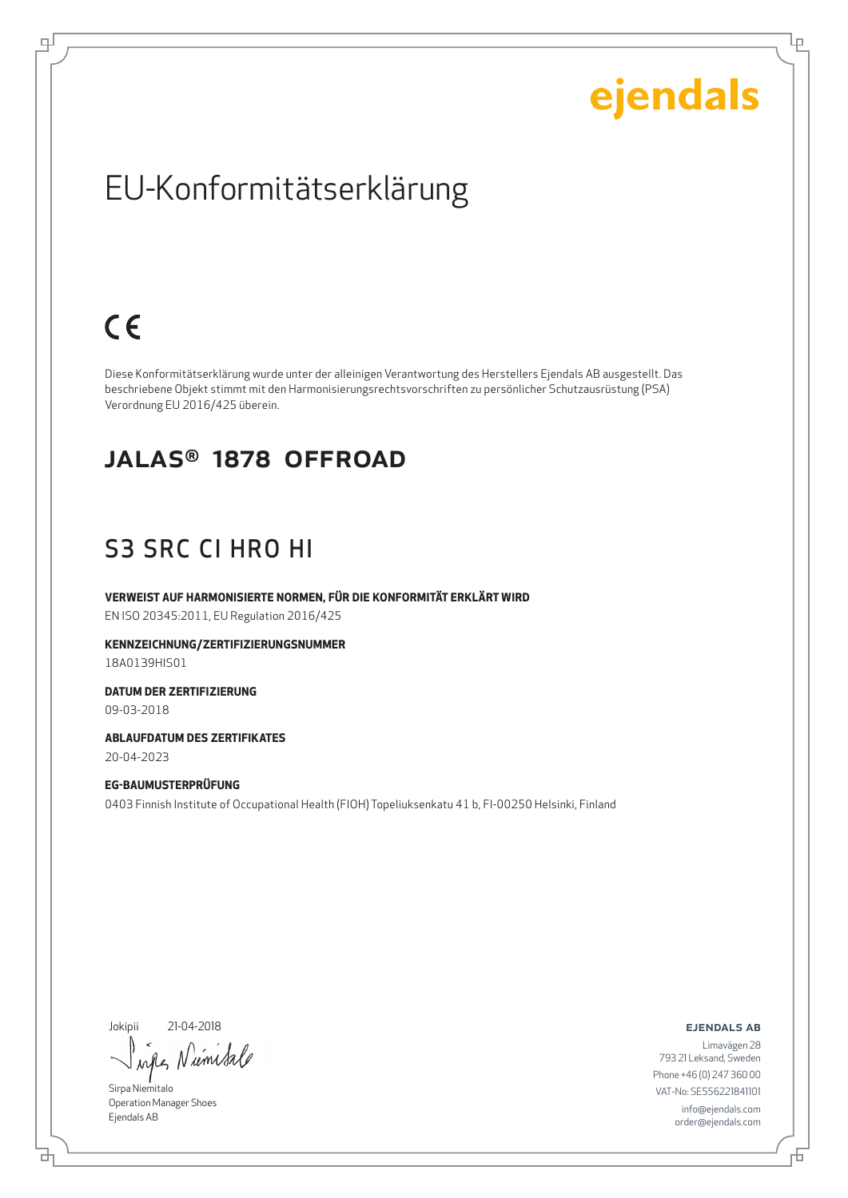Ļμ

### EU-Konformitätserklärung

### $C \in$

டி

Diese Konformitätserklärung wurde unter der alleinigen Verantwortung des Herstellers Ejendals AB ausgestellt. Das beschriebene Objekt stimmt mit den Harmonisierungsrechtsvorschriften zu persönlicher Schutzausrüstung (PSA) Verordnung EU 2016/425 überein.

#### JALAS® 1878 OFFROAD

### S3 SRC CI HRO HI

**VERWEIST AUF HARMONISIERTE NORMEN, FÜR DIE KONFORMITÄT ERKLÄRT WIRD** EN ISO 20345:2011, EU Regulation 2016/425

**KENNZEICHNUNG/ZERTIFIZIERUNGSNUMMER** 18A0139HIS01

**DATUM DER ZERTIFIZIERUNG** 09-03-2018

**ABLAUFDATUM DES ZERTIFIKATES** 20-04-2023

**EG-BAUMUSTERPRÜFUNG** 0403 Finnish Institute of Occupational Health (FIOH) Topeliuksenkatu 41 b, FI-00250 Helsinki, Finland

Jokipii 21-04-2018

umsa  $\lambda \alpha \ell$ 

Sirpa Niemitalo Operation Manager Shoes Ejendals AB

브

ejendals ab

Đ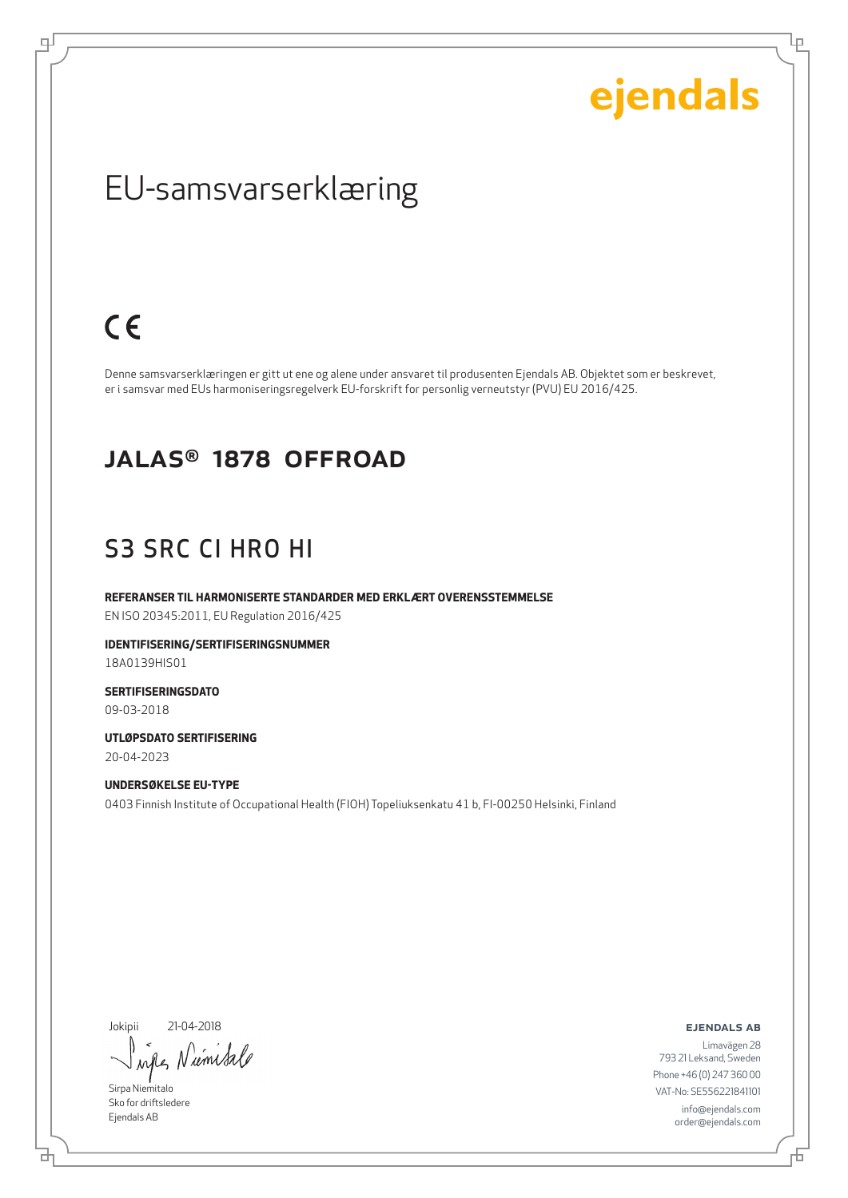Ļμ

### EU-samsvarserklæring

### $C \in$

ψ

Denne samsvarserklæringen er gitt ut ene og alene under ansvaret til produsenten Ejendals AB. Objektet som er beskrevet, er i samsvar med EUs harmoniseringsregelverk EU-forskrift for personlig verneutstyr (PVU) EU 2016/425.

#### JALAS® 1878 OFFROAD

#### S3 SRC CI HRO HI

**REFERANSER TIL HARMONISERTE STANDARDER MED ERKLÆRT OVERENSSTEMMELSE** EN ISO 20345:2011, EU Regulation 2016/425

**IDENTIFISERING/SERTIFISERINGSNUMMER** 18A0139HIS01

**SERTIFISERINGSDATO** 09-03-2018

**UTLØPSDATO SERTIFISERING** 20-04-2023

**UNDERSØKELSE EU-TYPE** 0403 Finnish Institute of Occupational Health (FIOH) Topeliuksenkatu 41 b, FI-00250 Helsinki, Finland

Jokipii 21-04-2018

Niemisa when

Sirpa Niemitalo Sko for driftsledere Ejendals AB

브

ejendals ab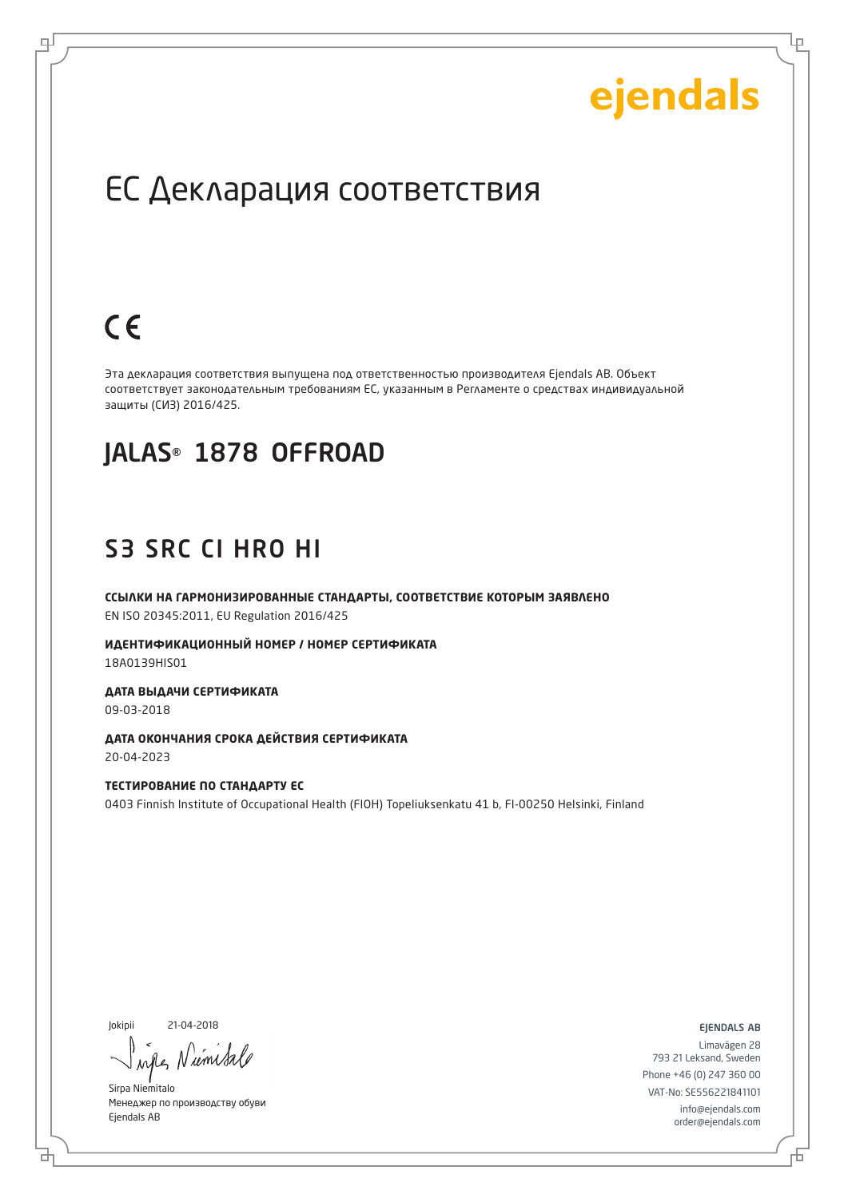Lр

### ЕС Декларация соответствия

### $C \in$

로

Эта декларация соответствия выпущена под ответственностью производителя Ejendals AB. Объект соответствует законодательным требованиям ЕС, указанным в Регламенте о средствах индивидуальной защиты (СИЗ) 2016/425.

#### JALAS® 1878 OFFROAD

#### S3 SRC CI HRO HI

**ССЫЛКИ НА ГАРМОНИЗИРОВАННЫЕ СТАНДАРТЫ, СООТВЕТСТВИЕ КОТОРЫМ ЗАЯВЛЕНО** EN ISO 20345:2011, EU Regulation 2016/425

**ИДЕНТИФИКАЦИОННЫЙ НОМЕР / НОМЕР СЕРТИФИКАТА** 18A0139HIS01

**ДАТА ВЫДАЧИ СЕРТИФИКАТА** 09-03-2018

**ДАТА ОКОНЧАНИЯ СРОКА ДЕЙСТВИЯ СЕРТИФИКАТА** 20-04-2023

**ТЕСТИРОВАНИЕ ПО СТАНДАРТУ ЕС** 0403 Finnish Institute of Occupational Health (FIOH) Topeliuksenkatu 41 b, FI-00250 Helsinki, Finland

Jokipii 21-04-2018

um

Sirpa Niemitalo Менеджер по производству обуви Ejendals AB

ejendals ab

Limavägen 28 793 21 Leksand, Sweden Phone +46 (0) 247 360 00 VAT-No: SE556221841101 info@ejendals.com order@ejendals.com

б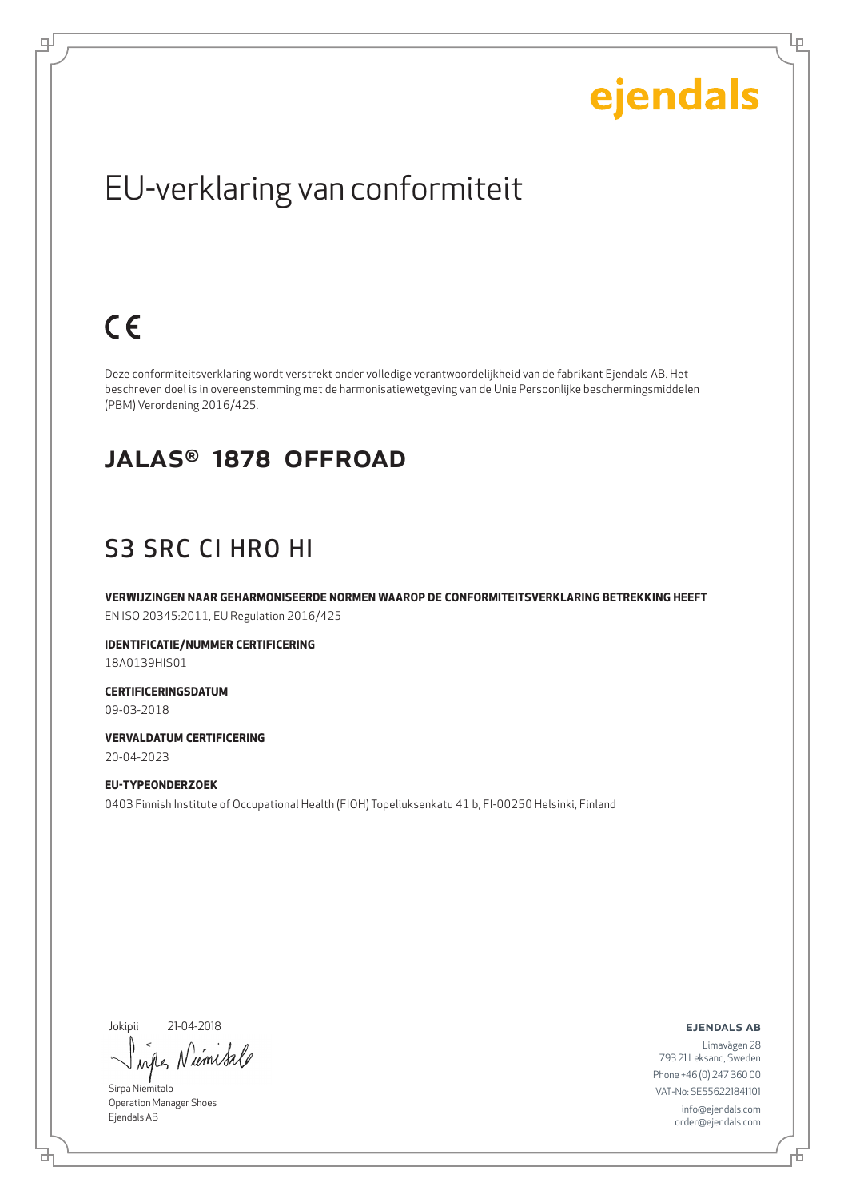Ļμ

### EU-verklaring van conformiteit

### $C \in$

டி

Deze conformiteitsverklaring wordt verstrekt onder volledige verantwoordelijkheid van de fabrikant Ejendals AB. Het beschreven doel is in overeenstemming met de harmonisatiewetgeving van de Unie Persoonlijke beschermingsmiddelen (PBM) Verordening 2016/425.

#### JALAS® 1878 OFFROAD

#### S3 SRC CI HRO HI

**VERWIJZINGEN NAAR GEHARMONISEERDE NORMEN WAAROP DE CONFORMITEITSVERKLARING BETREKKING HEEFT** EN ISO 20345:2011, EU Regulation 2016/425

**IDENTIFICATIE/NUMMER CERTIFICERING** 18A0139HIS01

**CERTIFICERINGSDATUM** 09-03-2018

**VERVALDATUM CERTIFICERING** 20-04-2023

**EU-TYPEONDERZOEK** 0403 Finnish Institute of Occupational Health (FIOH) Topeliuksenkatu 41 b, FI-00250 Helsinki, Finland

Jokipii 21-04-2018

ums  $\lambda \alpha \ell$ 

Sirpa Niemitalo Operation Manager Shoes Ejendals AB

브

ejendals ab

Đ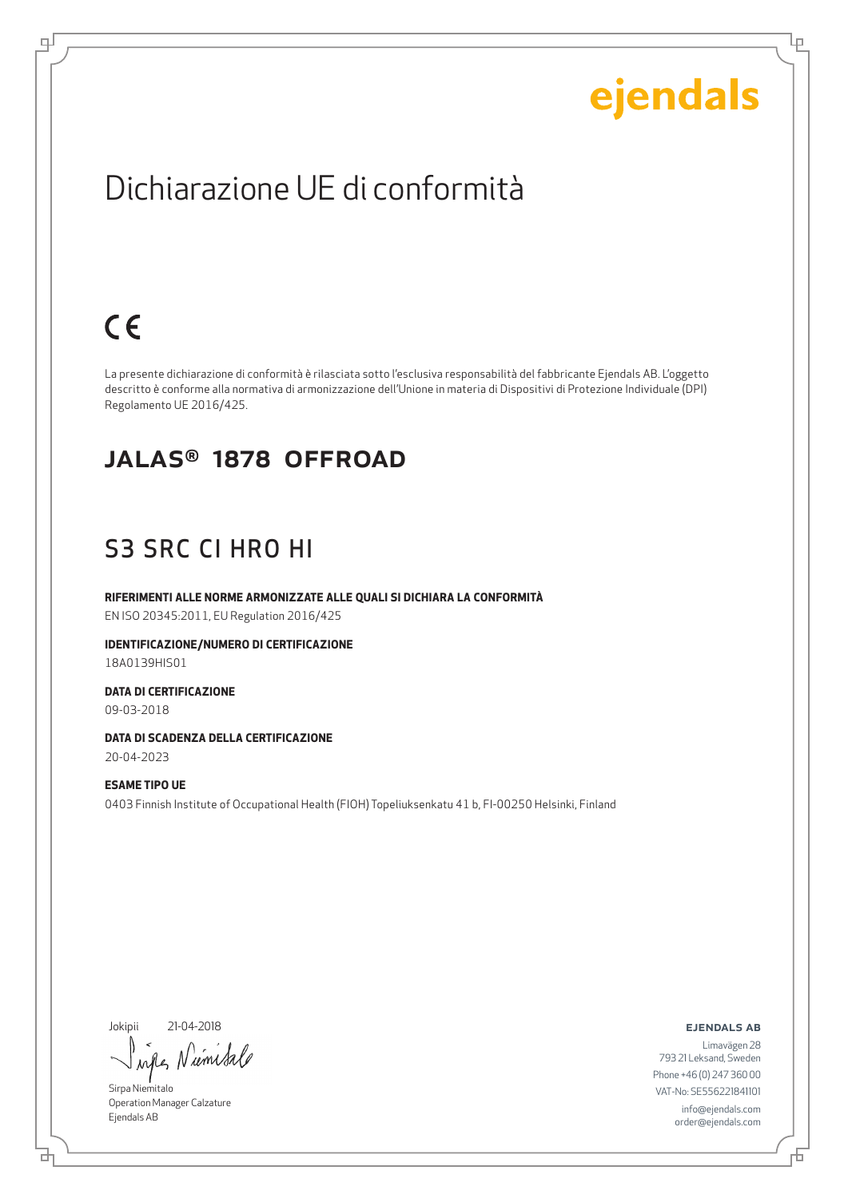Ļμ

### Dichiarazione UE di conformità

### $C \in$

டி

La presente dichiarazione di conformità è rilasciata sotto l'esclusiva responsabilità del fabbricante Ejendals AB. L'oggetto descritto è conforme alla normativa di armonizzazione dell'Unione in materia di Dispositivi di Protezione Individuale (DPI) Regolamento UE 2016/425.

#### JALAS® 1878 OFFROAD

### S3 SRC CI HRO HI

**RIFERIMENTI ALLE NORME ARMONIZZATE ALLE QUALI SI DICHIARA LA CONFORMITÀ** EN ISO 20345:2011, EU Regulation 2016/425

**IDENTIFICAZIONE/NUMERO DI CERTIFICAZIONE** 18A0139HIS01

**DATA DI CERTIFICAZIONE** 09-03-2018

**DATA DI SCADENZA DELLA CERTIFICAZIONE** 20-04-2023

**ESAME TIPO UE** 0403 Finnish Institute of Occupational Health (FIOH) Topeliuksenkatu 41 b, FI-00250 Helsinki, Finland

Jokipii 21-04-2018

umsa ru

Sirpa Niemitalo Operation Manager Calzature Ejendals AB

브

#### ejendals ab

Đ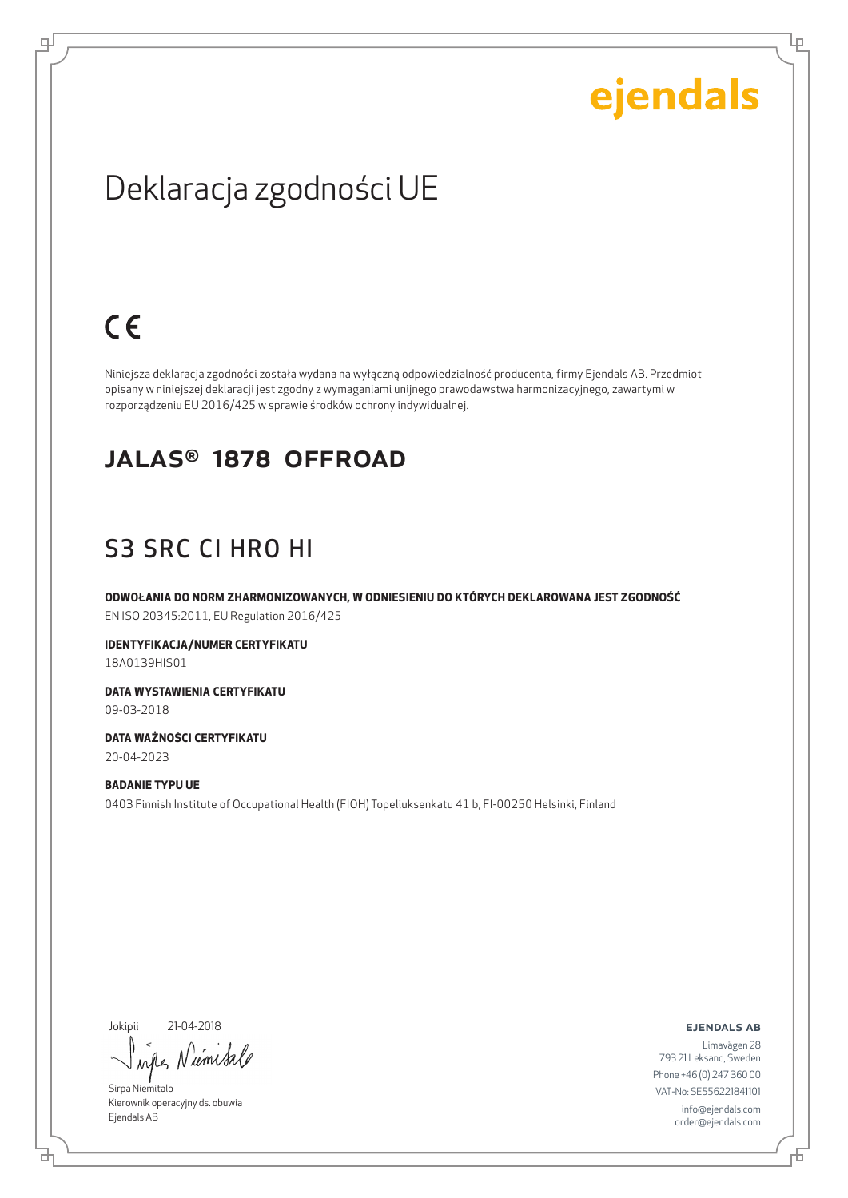Ļμ

### Deklaracja zgodności UE

### $C \in$

цJ

Niniejsza deklaracja zgodności została wydana na wyłączną odpowiedzialność producenta, firmy Ejendals AB. Przedmiot opisany w niniejszej deklaracji jest zgodny z wymaganiami unijnego prawodawstwa harmonizacyjnego, zawartymi w rozporządzeniu EU 2016/425 w sprawie środków ochrony indywidualnej.

#### JALAS® 1878 OFFROAD

### S3 SRC CI HRO HI

**ODWOŁANIA DO NORM ZHARMONIZOWANYCH, W ODNIESIENIU DO KTÓRYCH DEKLAROWANA JEST ZGODNOŚĆ** EN ISO 20345:2011, EU Regulation 2016/425

**IDENTYFIKACJA/NUMER CERTYFIKATU** 18A0139HIS01

**DATA WYSTAWIENIA CERTYFIKATU** 09-03-2018

**DATA WAŻNOŚCI CERTYFIKATU** 20-04-2023

**BADANIE TYPU UE** 0403 Finnish Institute of Occupational Health (FIOH) Topeliuksenkatu 41 b, FI-00250 Helsinki, Finland

Jokipii 21-04-2018

₫

umisa when

Sirpa Niemitalo Kierownik operacyjny ds. obuwia Ejendals AB

ejendals ab

Limavägen 28 793 21 Leksand, Sweden Phone +46 (0) 247 360 00 VAT-No: SE556221841101 info@ejendals.com order@ejendals.com

Б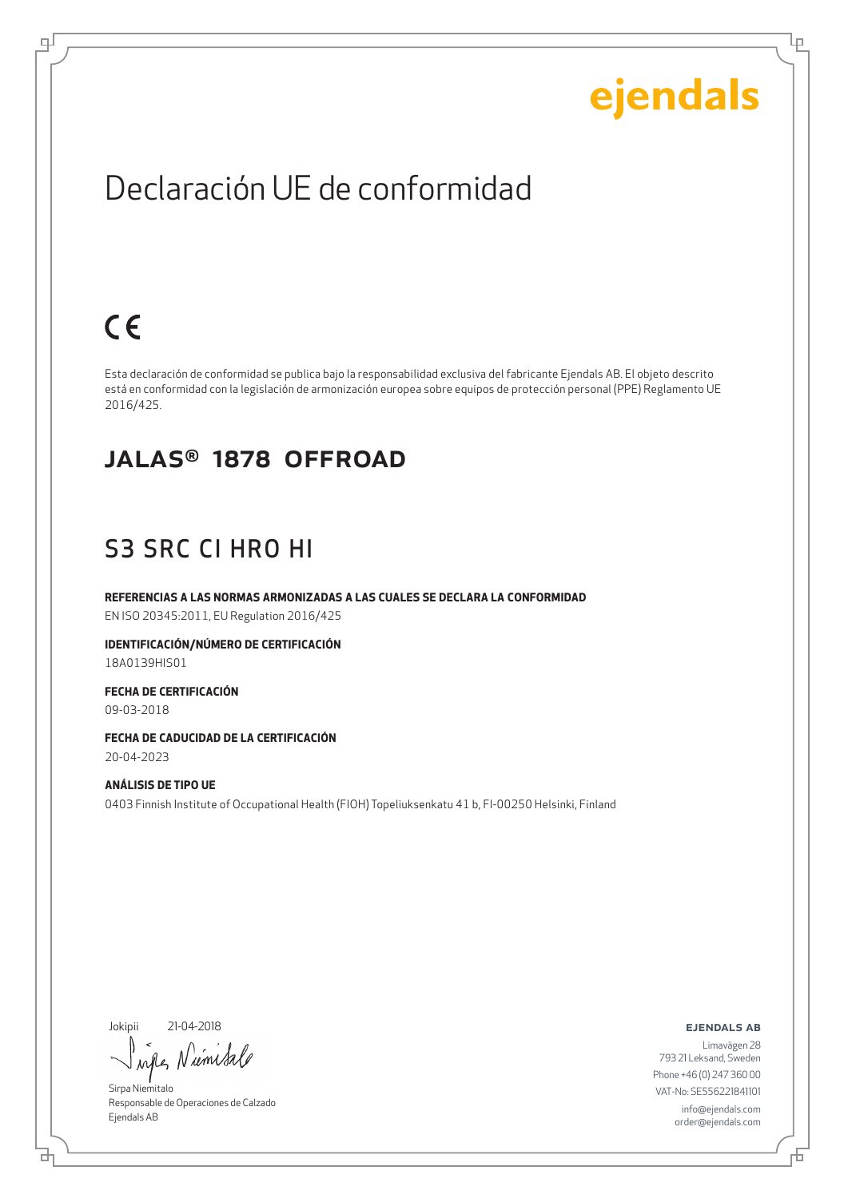Ļμ

### Declaración UE de conformidad

### $C \in$

ψ

Esta declaración de conformidad se publica bajo la responsabilidad exclusiva del fabricante Ejendals AB. El objeto descrito está en conformidad con la legislación de armonización europea sobre equipos de protección personal (PPE) Reglamento UE 2016/425.

#### JALAS® 1878 OFFROAD

#### S3 SRC CI HRO HI

**REFERENCIAS A LAS NORMAS ARMONIZADAS A LAS CUALES SE DECLARA LA CONFORMIDAD** EN ISO 20345:2011, EU Regulation 2016/425

**IDENTIFICACIÓN/NÚMERO DE CERTIFICACIÓN** 18A0139HIS01

**FECHA DE CERTIFICACIÓN** 09-03-2018

**FECHA DE CADUCIDAD DE LA CERTIFICACIÓN** 20-04-2023

**ANÁLISIS DE TIPO UE** 0403 Finnish Institute of Occupational Health (FIOH) Topeliuksenkatu 41 b, FI-00250 Helsinki, Finland

Jokipii 21-04-2018

rémisa Andle

Sirpa Niemitalo Responsable de Operaciones de Calzado Ejendals AB

ejendals ab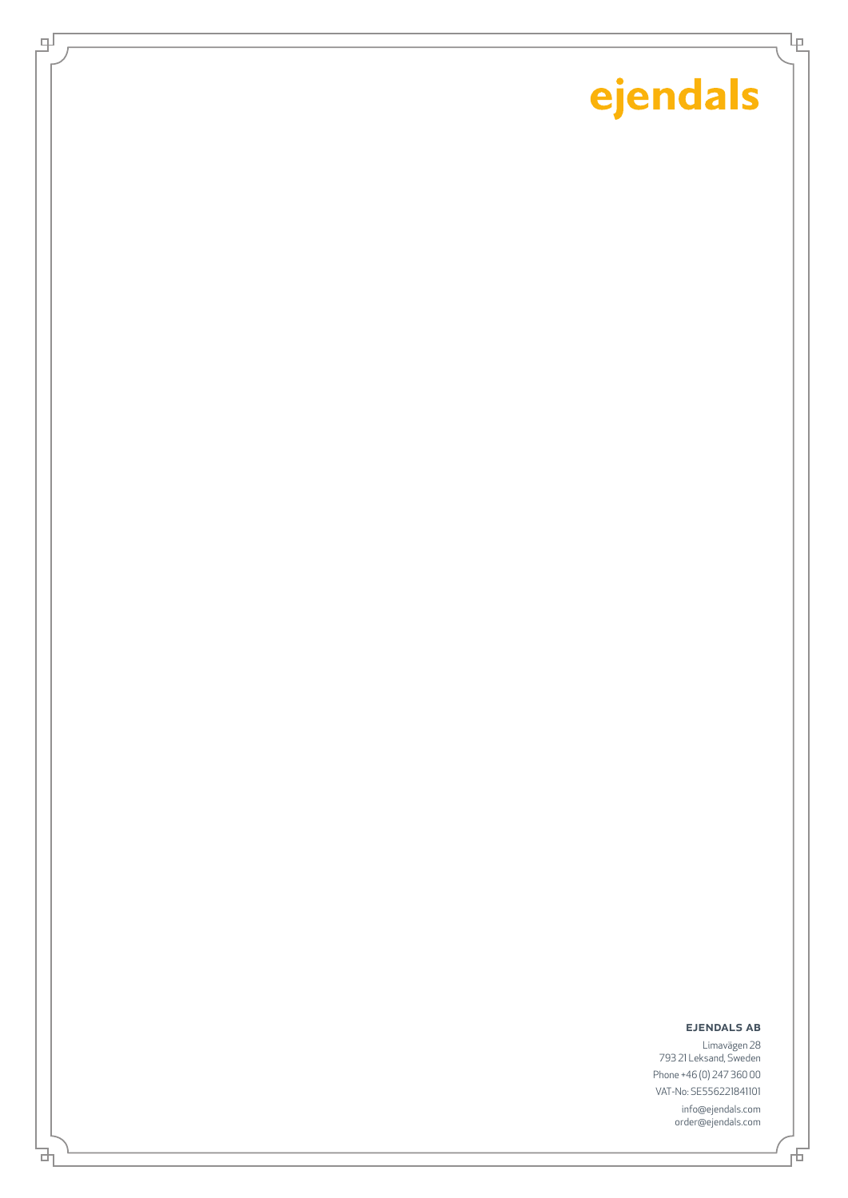Ίę

 $\mp$ 

과

#### ejendals ab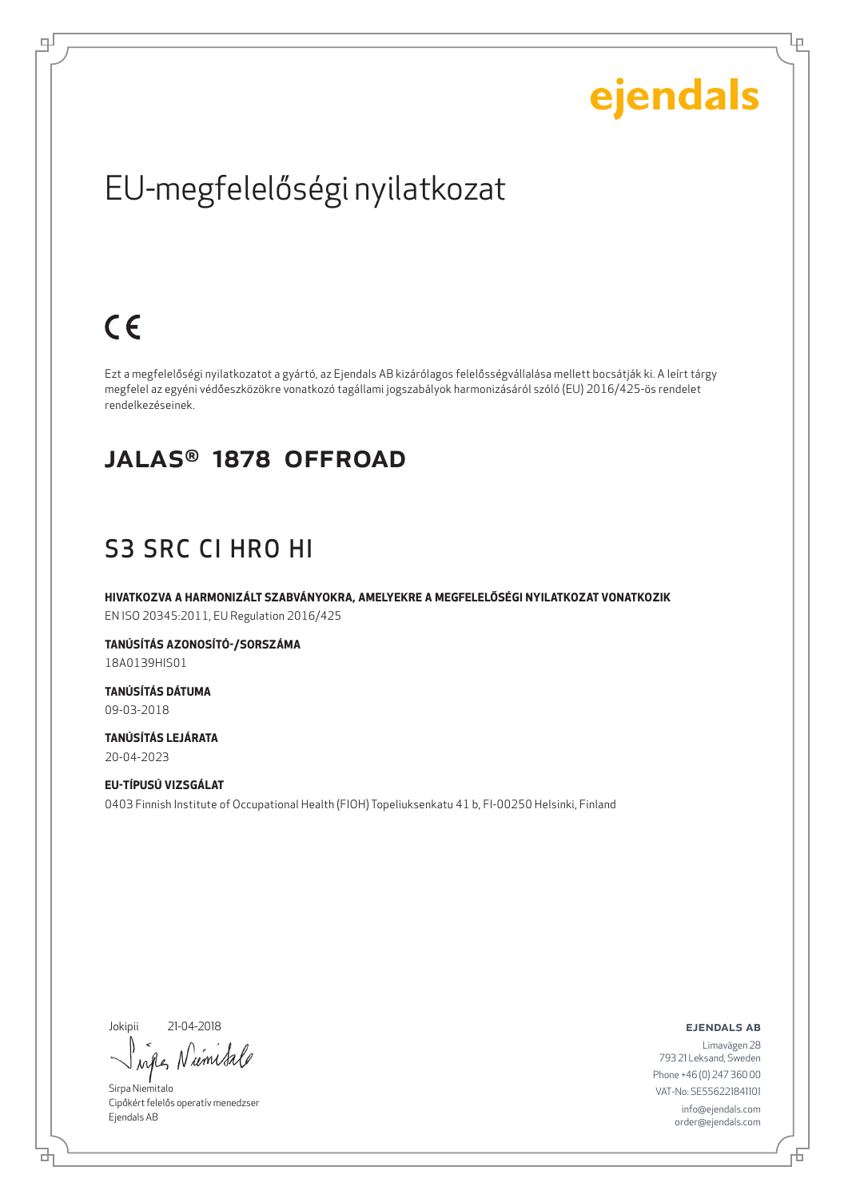Ļμ

## EU-megfelelőségi nyilatkozat

### $C \in$

ᆗ

Ezt a megfelelőségi nyilatkozatot a gyártó, az Ejendals AB kizárólagos felelősségvállalása mellett bocsátják ki. A leírt tárgy megfelel az egyéni védőeszközökre vonatkozó tagállami jogszabályok harmonizásáról szóló (EU) 2016/425-ös rendelet rendelkezéseinek.

#### JALAS® 1878 OFFROAD

### S3 SRC CI HRO HI

**HIVATKOZVA A HARMONIZÁLT SZABVÁNYOKRA, AMELYEKRE A MEGFELELŐSÉGI NYILATKOZAT VONATKOZIK** EN ISO 20345:2011, EU Regulation 2016/425

**TANÚSÍTÁS AZONOSÍTÓ-/SORSZÁMA** 18A0139HIS01

**TANÚSÍTÁS DÁTUMA** 09-03-2018

**TANÚSÍTÁS LEJÁRATA** 20-04-2023

**EU-TÍPUSÚ VIZSGÁLAT** 0403 Finnish Institute of Occupational Health (FIOH) Topeliuksenkatu 41 b, FI-00250 Helsinki, Finland

Jokipii 21-04-2018

₫

umsa  $\lambda$ n

Sirpa Niemitalo Cipőkért felelős operatív menedzser Ejendals AB

ejendals ab

Б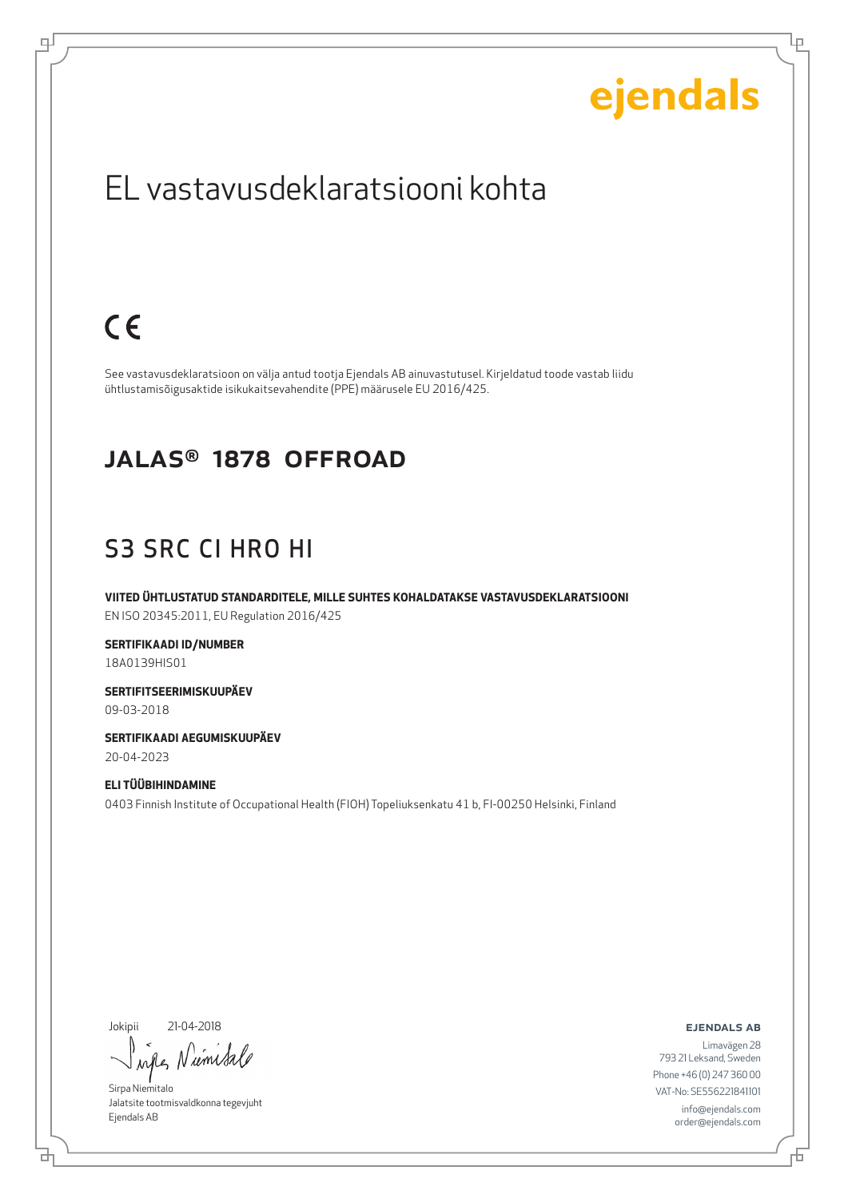Lρ

### EL vastavusdeklaratsiooni kohta

### $C \in$

ψ

See vastavusdeklaratsioon on välja antud tootja Ejendals AB ainuvastutusel. Kirjeldatud toode vastab liidu ühtlustamisõigusaktide isikukaitsevahendite (PPE) määrusele EU 2016/425.

#### JALAS® 1878 OFFROAD

### S3 SRC CI HRO HI

**VIITED ÜHTLUSTATUD STANDARDITELE, MILLE SUHTES KOHALDATAKSE VASTAVUSDEKLARATSIOONI** EN ISO 20345:2011, EU Regulation 2016/425

**SERTIFIKAADI ID/NUMBER** 18A0139HIS01

**SERTIFITSEERIMISKUUPÄEV** 09-03-2018

**SERTIFIKAADI AEGUMISKUUPÄEV** 20-04-2023

**ELI TÜÜBIHINDAMINE** 0403 Finnish Institute of Occupational Health (FIOH) Topeliuksenkatu 41 b, FI-00250 Helsinki, Finland

Jokipii 21-04-2018

브

Niemisa  $\lambda \alpha \ell$ 

Sirpa Niemitalo Jalatsite tootmisvaldkonna tegevjuht Ejendals AB

ejendals ab

Đ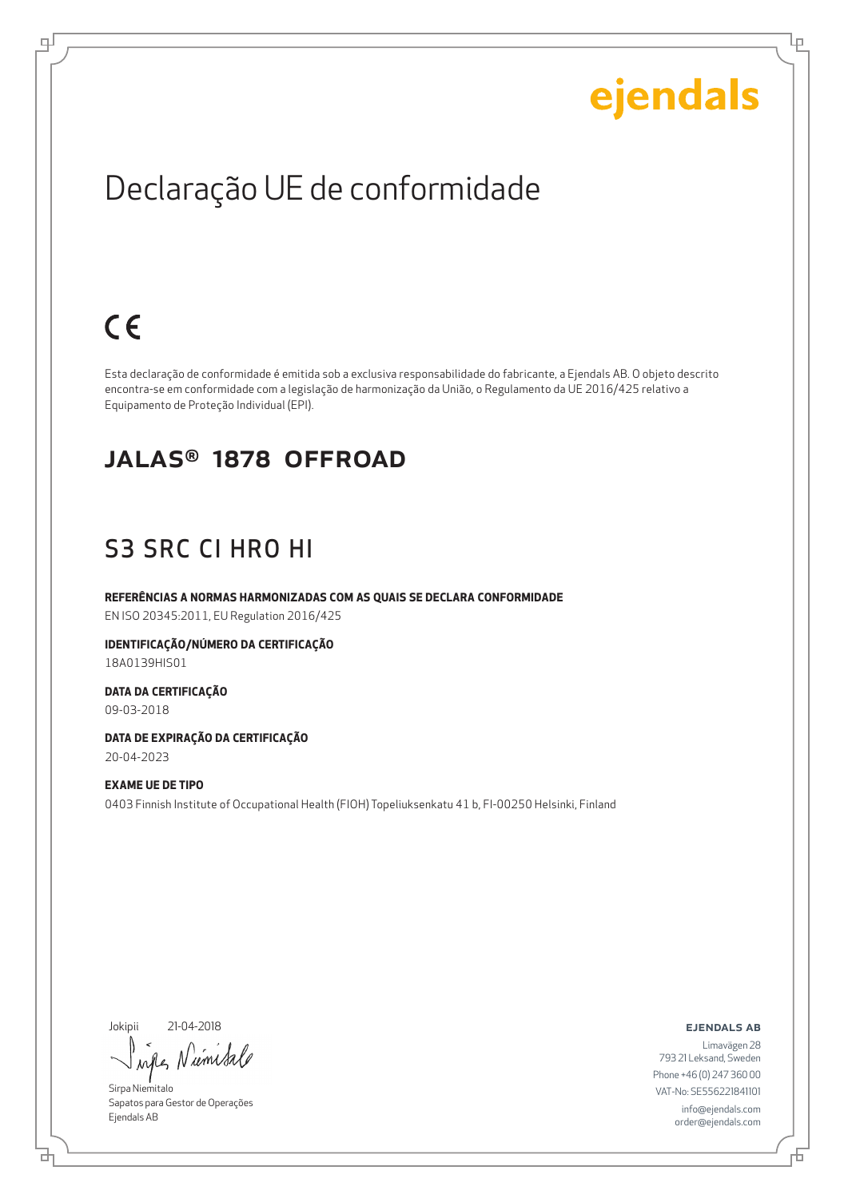Ļμ

### Declaração UE de conformidade

### $C \in$

ᆗ

Esta declaração de conformidade é emitida sob a exclusiva responsabilidade do fabricante, a Ejendals AB. O objeto descrito encontra-se em conformidade com a legislação de harmonização da União, o Regulamento da UE 2016/425 relativo a Equipamento de Proteção Individual (EPI).

#### JALAS® 1878 OFFROAD

#### S3 SRC CI HRO HI

**REFERÊNCIAS A NORMAS HARMONIZADAS COM AS QUAIS SE DECLARA CONFORMIDADE** EN ISO 20345:2011, EU Regulation 2016/425

**IDENTIFICAÇÃO/NÚMERO DA CERTIFICAÇÃO** 18A0139HIS01

**DATA DA CERTIFICAÇÃO** 09-03-2018

**DATA DE EXPIRAÇÃO DA CERTIFICAÇÃO** 20-04-2023

**EXAME UE DE TIPO** 0403 Finnish Institute of Occupational Health (FIOH) Topeliuksenkatu 41 b, FI-00250 Helsinki, Finland

Jokipii 21-04-2018

₫

um  $\lambda$ <sup> $\Lambda$ </sup>

Sirpa Niemitalo Sapatos para Gestor de Operações Ejendals AB

ejendals ab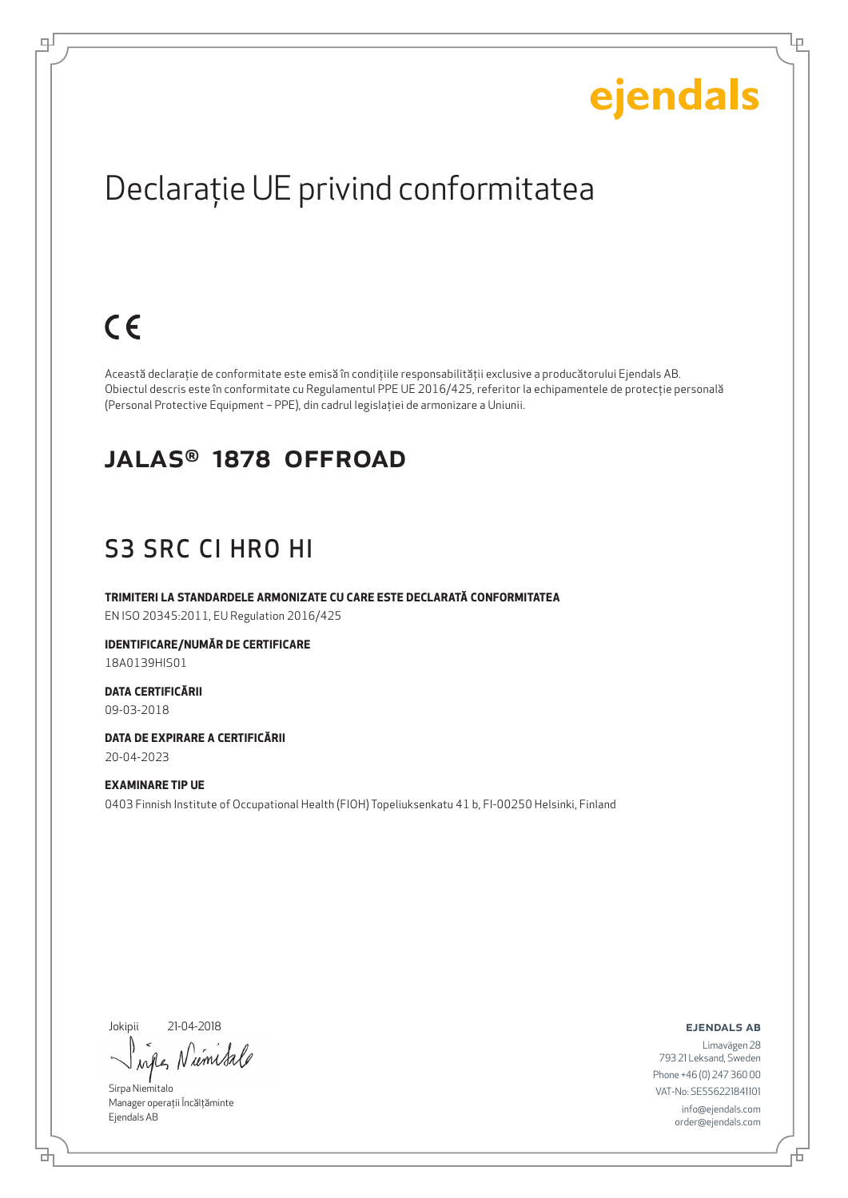Lр

## Declaraţie UE privind conformitatea

### $C \in$

ᆗ

Această declaraţie de conformitate este emisă în condiţiile responsabilităţii exclusive a producătorului Ejendals AB. Obiectul descris este în conformitate cu Regulamentul PPE UE 2016/425, referitor la echipamentele de protecţie personală (Personal Protective Equipment – PPE), din cadrul legislaţiei de armonizare a Uniunii.

#### JALAS® 1878 OFFROAD

### S3 SRC CI HRO HI

**TRIMITERI LA STANDARDELE ARMONIZATE CU CARE ESTE DECLARATĂ CONFORMITATEA** EN ISO 20345:2011, EU Regulation 2016/425

**IDENTIFICARE/NUMĂR DE CERTIFICARE** 18A0139HIS01

**DATA CERTIFICĂRII** 09-03-2018

**DATA DE EXPIRARE A CERTIFICĂRII** 20-04-2023

**EXAMINARE TIP UE** 0403 Finnish Institute of Occupational Health (FIOH) Topeliuksenkatu 41 b, FI-00250 Helsinki, Finland

Jokipii 21-04-2018

umi  $\lambda$ nd

Sirpa Niemitalo Manager operații Încălțăminte Ejendals AB

ejendals ab

d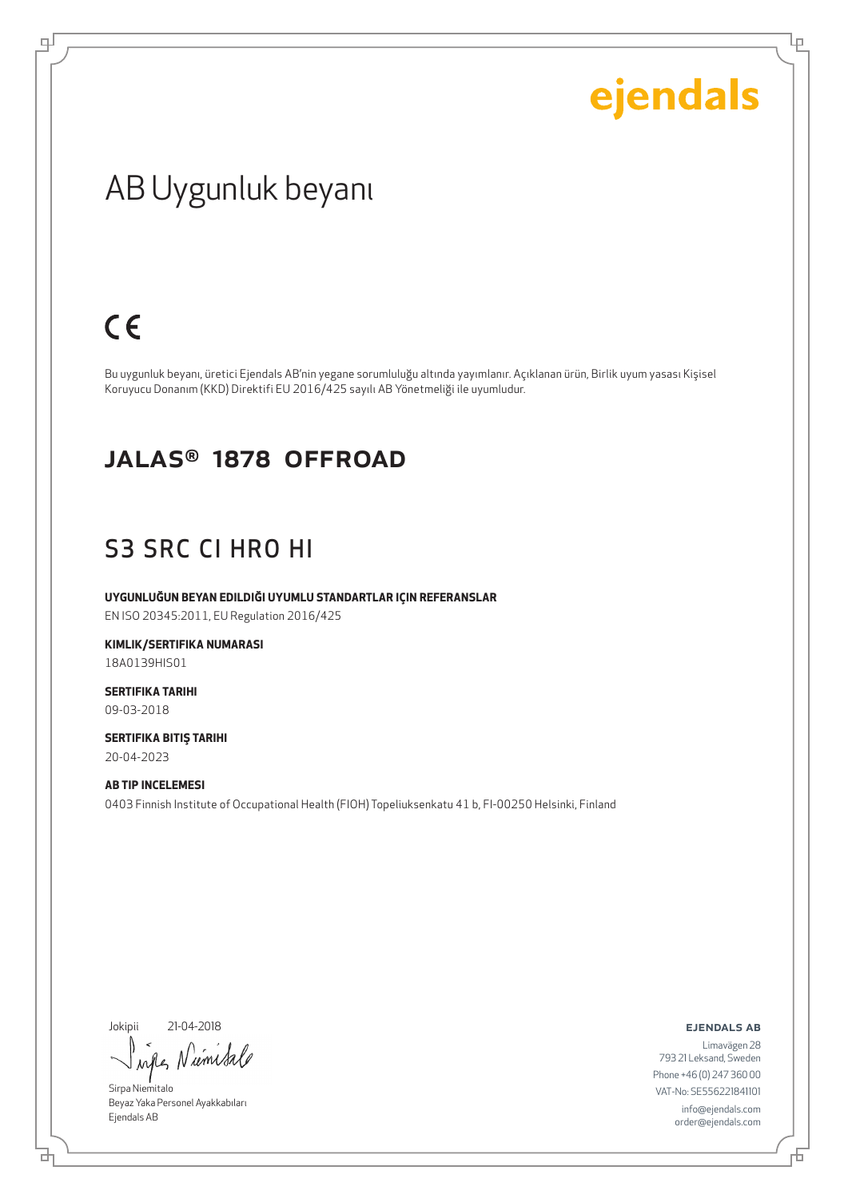Lρ

### AB Uygunluk beyanı

### $C \in$

ψ

Bu uygunluk beyanı, üretici Ejendals AB'nin yegane sorumluluğu altında yayımlanır. Açıklanan ürün, Birlik uyum yasası Kişisel Koruyucu Donanım (KKD) Direktifi EU 2016/425 sayılı AB Yönetmeliği ile uyumludur.

#### JALAS® 1878 OFFROAD

#### S3 SRC CI HRO HI

**UYGUNLUĞUN BEYAN EDILDIĞI UYUMLU STANDARTLAR IÇIN REFERANSLAR**

EN ISO 20345:2011, EU Regulation 2016/425

**KIMLIK/SERTIFIKA NUMARASI** 18A0139HIS01

**SERTIFIKA TARIHI** 09-03-2018

**SERTIFIKA BITIŞ TARIHI** 20-04-2023

**AB TIP INCELEMESI** 0403 Finnish Institute of Occupational Health (FIOH) Topeliuksenkatu 41 b, FI-00250 Helsinki, Finland

Jokipii 21-04-2018

umsa when N

Sirpa Niemitalo Beyaz Yaka Personel Ayakkabıları Ejendals AB

ejendals ab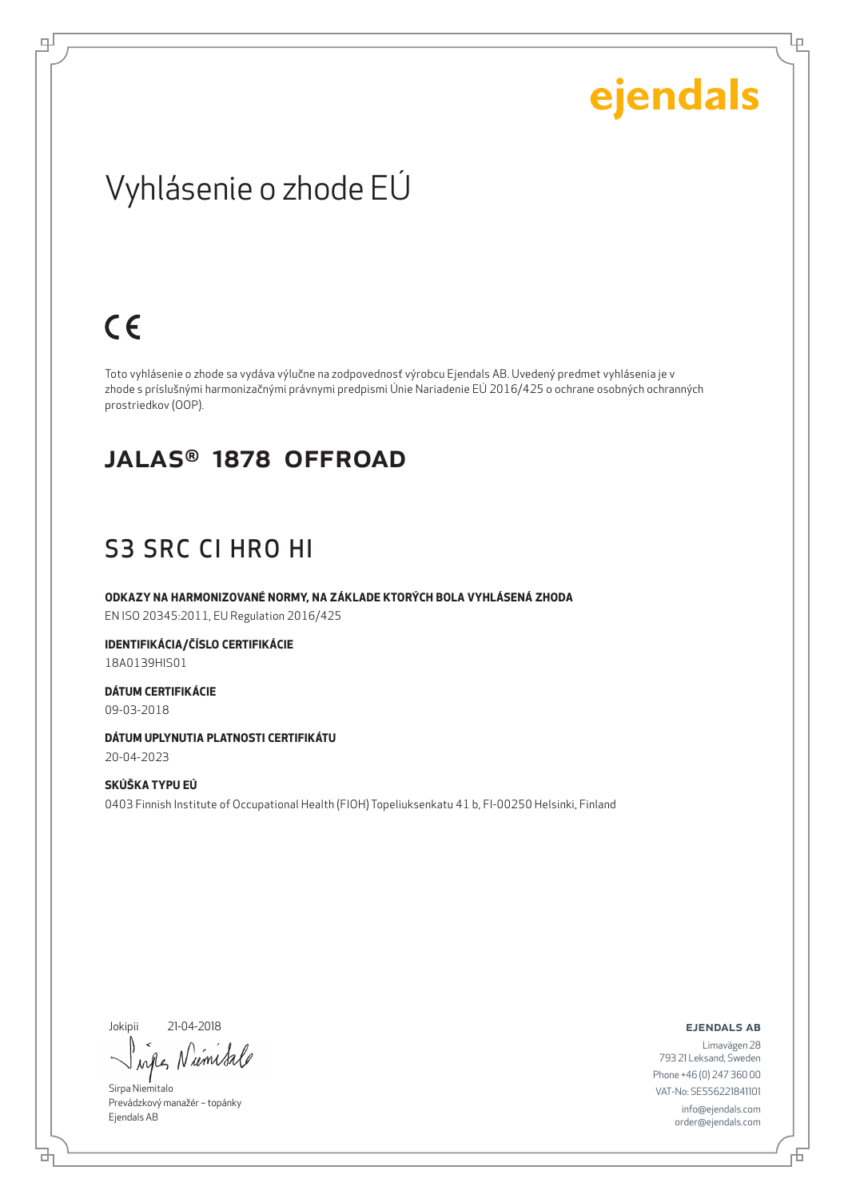Lρ

### Vyhlásenie o zhode EÚ

### $C \in$

ᆗ

Toto vyhlásenie o zhode sa vydáva výlučne na zodpovednosť výrobcu Ejendals AB. Uvedený predmet vyhlásenia je v zhode s príslušnými harmonizačnými právnymi predpismi Únie Nariadenie EÚ 2016/425 o ochrane osobných ochranných prostriedkov (OOP).

#### JALAS® 1878 OFFROAD

#### S3 SRC CI HRO HI

**ODKAZY NA HARMONIZOVANÉ NORMY, NA ZÁKLADE KTORÝCH BOLA VYHLÁSENÁ ZHODA** EN ISO 20345:2011, EU Regulation 2016/425

**IDENTIFIKÁCIA/ČÍSLO CERTIFIKÁCIE** 18A0139HIS01

**DÁTUM CERTIFIKÁCIE**

09-03-2018

**DÁTUM UPLYNUTIA PLATNOSTI CERTIFIKÁTU** 20-04-2023

**SKÚŠKA TYPU EÚ** 0403 Finnish Institute of Occupational Health (FIOH) Topeliuksenkatu 41 b, FI-00250 Helsinki, Finland

Jokipii 21-04-2018

브

umi when

Sirpa Niemitalo Prevádzkový manažér – topánky Ejendals AB

ejendals ab

Limavägen 28 793 21 Leksand, Sweden Phone +46 (0) 247 360 00 VAT-No: SE556221841101 info@ejendals.com order@ejendals.com

Đ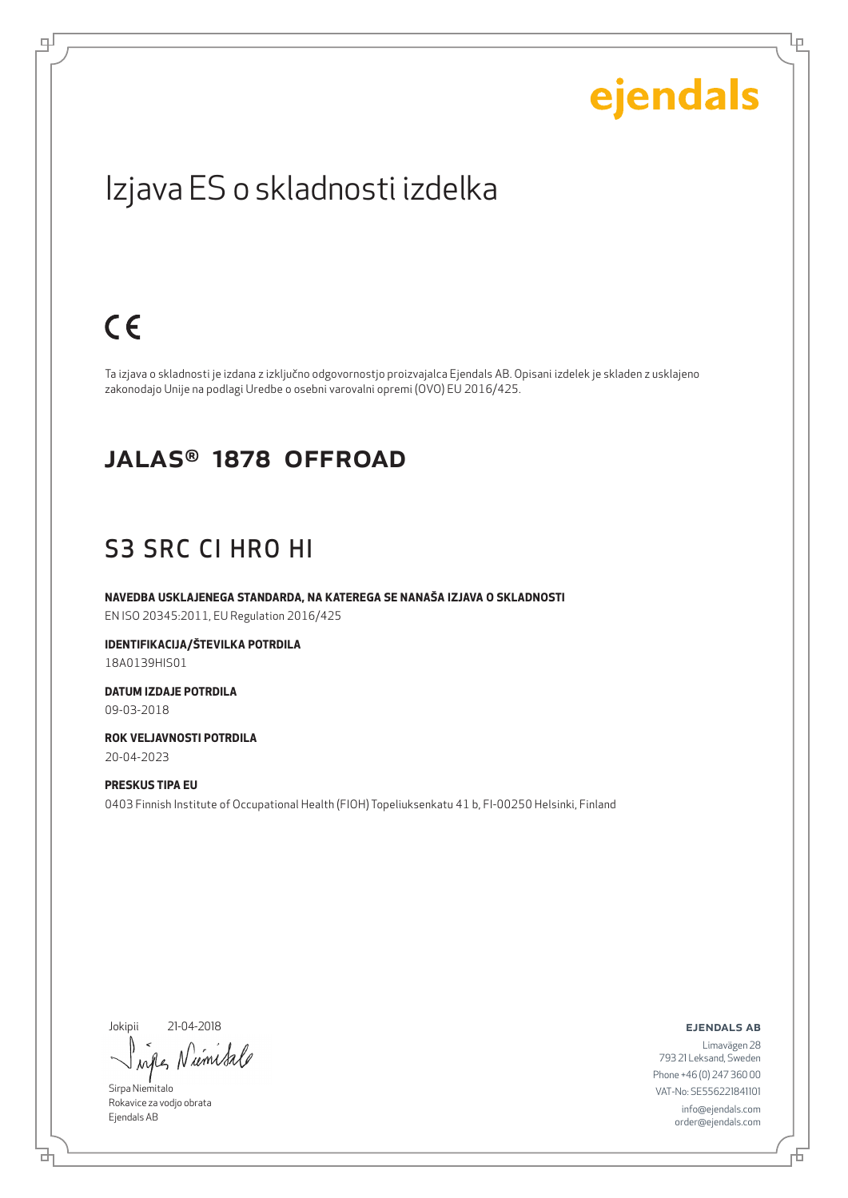Lρ

### Izjava ES o skladnosti izdelka

### $C \in$

ψ

Ta izjava o skladnosti je izdana z izključno odgovornostjo proizvajalca Ejendals AB. Opisani izdelek je skladen z usklajeno zakonodajo Unije na podlagi Uredbe o osebni varovalni opremi (OVO) EU 2016/425.

#### JALAS® 1878 OFFROAD

#### S3 SRC CI HRO HI

**NAVEDBA USKLAJENEGA STANDARDA, NA KATEREGA SE NANAŠA IZJAVA O SKLADNOSTI** EN ISO 20345:2011, EU Regulation 2016/425

**IDENTIFIKACIJA/ŠTEVILKA POTRDILA** 18A0139HIS01

**DATUM IZDAJE POTRDILA** 09-03-2018

**ROK VELJAVNOSTI POTRDILA** 20-04-2023

**PRESKUS TIPA EU** 0403 Finnish Institute of Occupational Health (FIOH) Topeliuksenkatu 41 b, FI-00250 Helsinki, Finland

Jokipii 21-04-2018

umsa  $\lambda$ all

Sirpa Niemitalo Rokavice za vodjo obrata Ejendals AB

브

ejendals ab

Đ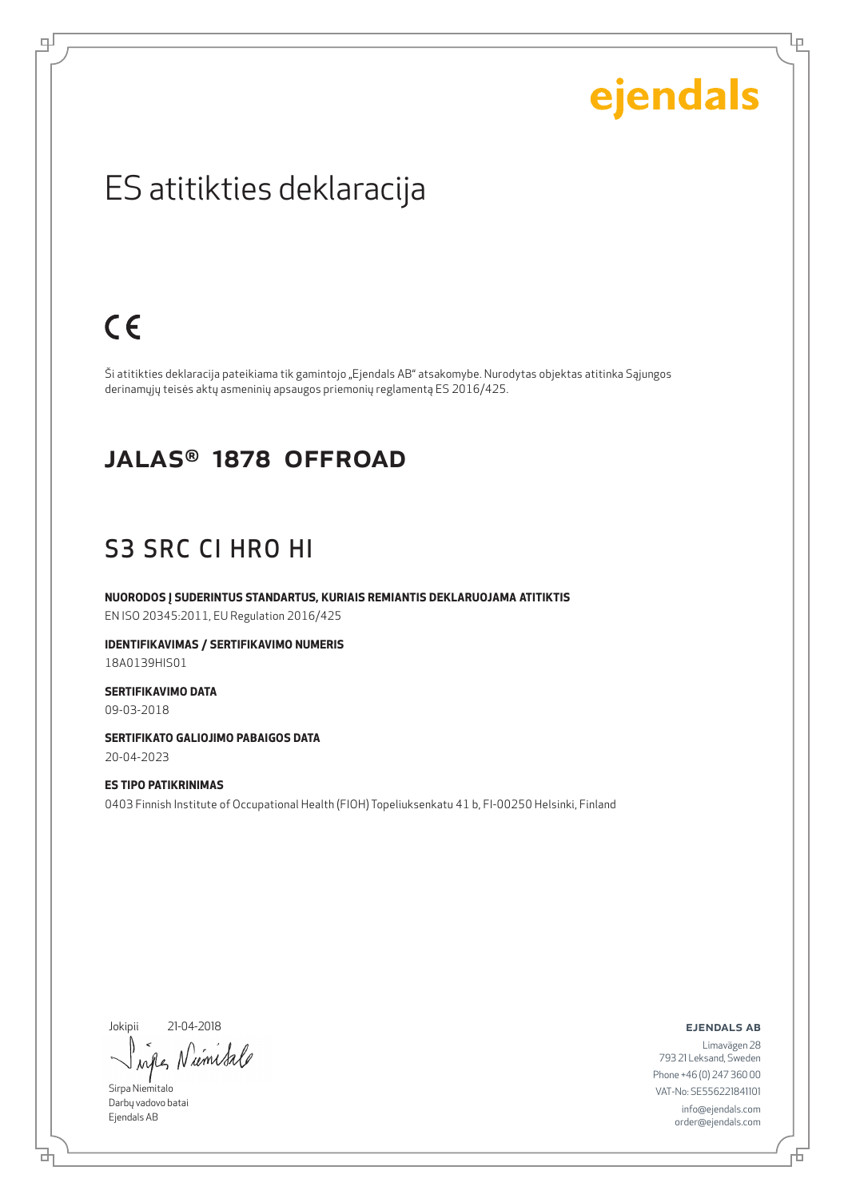Lρ

### ES atitikties deklaracija

### $C \in$

ψ

Ši atitikties deklaracija pateikiama tik gamintojo "Ejendals AB" atsakomybe. Nurodytas objektas atitinka Sąjungos derinamųjų teisės aktų asmeninių apsaugos priemonių reglamentą ES 2016/425.

#### JALAS® 1878 OFFROAD

#### S3 SRC CI HRO HI

**NUORODOS Į SUDERINTUS STANDARTUS, KURIAIS REMIANTIS DEKLARUOJAMA ATITIKTIS** EN ISO 20345:2011, EU Regulation 2016/425

**IDENTIFIKAVIMAS / SERTIFIKAVIMO NUMERIS** 18A0139HIS01

**SERTIFIKAVIMO DATA** 09-03-2018

**SERTIFIKATO GALIOJIMO PABAIGOS DATA** 20-04-2023

**ES TIPO PATIKRINIMAS** 0403 Finnish Institute of Occupational Health (FIOH) Topeliuksenkatu 41 b, FI-00250 Helsinki, Finland

Jokipii 21-04-2018

'um Sa when

Sirpa Niemitalo Darbų vadovo batai Ejendals AB

브

ejendals ab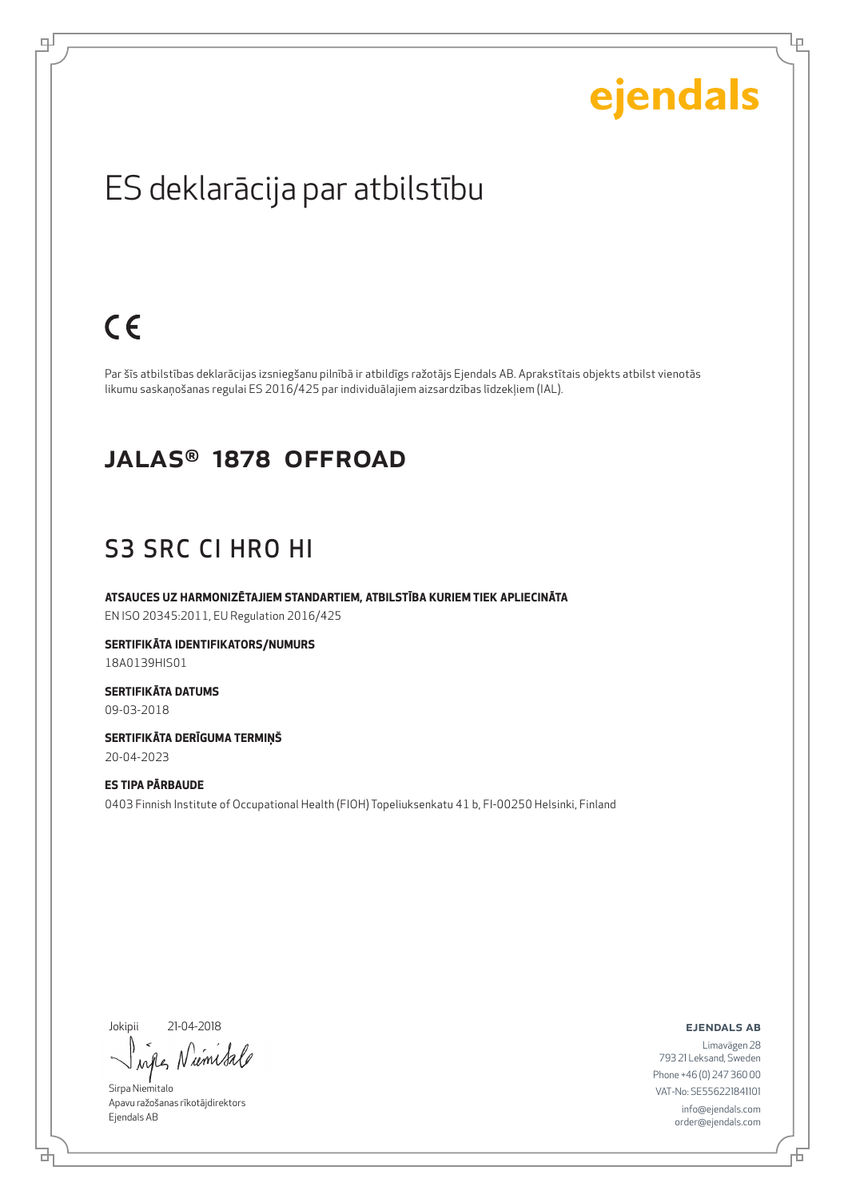Lρ

### ES deklarācija par atbilstību

### $C \in$

ᆗ

Par šīs atbilstības deklarācijas izsniegšanu pilnībā ir atbildīgs ražotājs Ejendals AB. Aprakstītais objekts atbilst vienotās likumu saskaņošanas regulai ES 2016/425 par individuālajiem aizsardzības līdzekļiem (IAL).

#### JALAS® 1878 OFFROAD

#### S3 SRC CI HRO HI

**ATSAUCES UZ HARMONIZĒTAJIEM STANDARTIEM, ATBILSTĪBA KURIEM TIEK APLIECINĀTA** EN ISO 20345:2011, EU Regulation 2016/425

**SERTIFIKĀTA IDENTIFIKATORS/NUMURS** 18A0139HIS01

**SERTIFIKĀTA DATUMS** 09-03-2018

**SERTIFIKĀTA DERĪGUMA TERMIŅŠ** 20-04-2023

**ES TIPA PĀRBAUDE** 0403 Finnish Institute of Occupational Health (FIOH) Topeliuksenkatu 41 b, FI-00250 Helsinki, Finland

Jokipii 21-04-2018

브

umisa  $\lambda \alpha \ell$ 

Sirpa Niemitalo Apavu ražošanas rīkotājdirektors Ejendals AB

#### ejendals ab

Б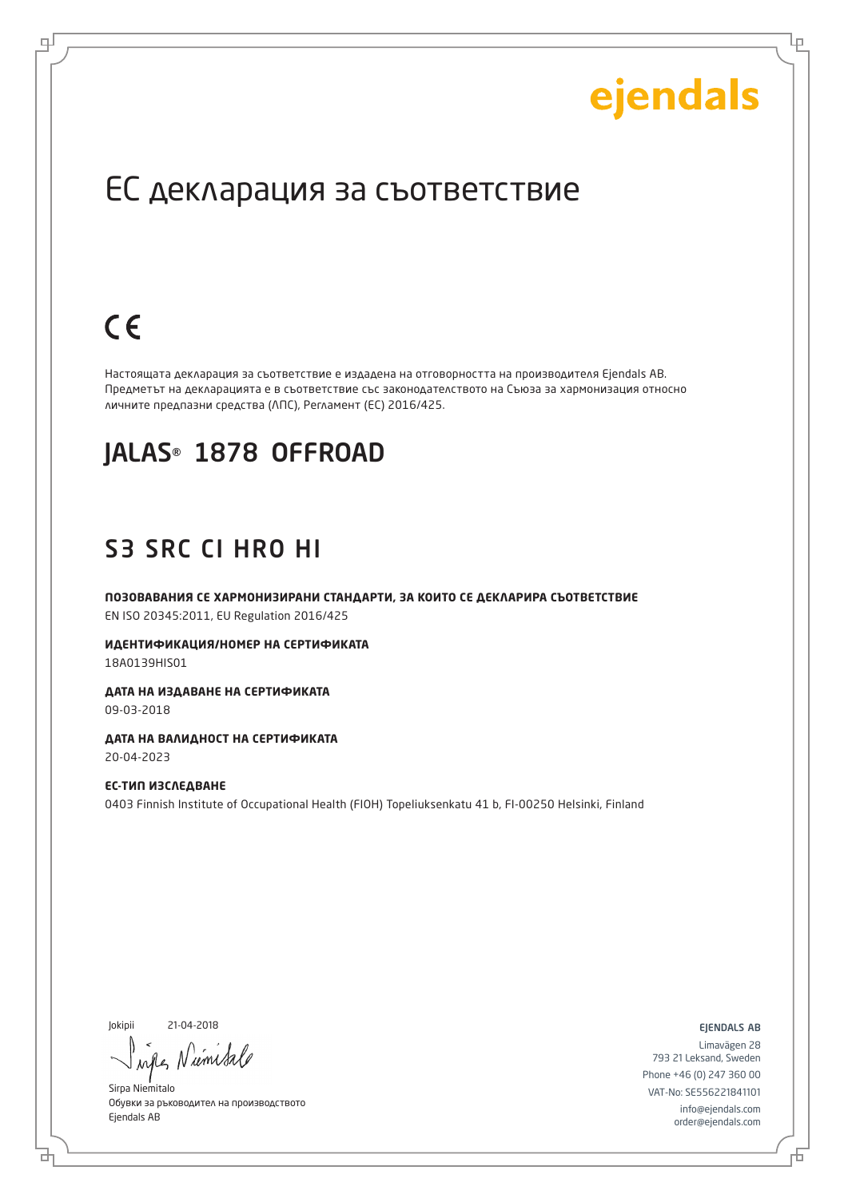Lр

### ЕС декларация за съответствие

### $C \in$

로

Настоящата декларация за съответствие е издадена на отговорността на производителя Ejendals AB. Предметът на декларацията е в съответствие със законодателството на Съюза за хармонизация относно личните предпазни средства (ЛПС), Регламент (ЕС) 2016/425.

#### JALAS® 1878 OFFROAD

### S3 SRC CI HRO HI

**ПОЗОВАВАНИЯ СЕ ХАРМОНИЗИРАНИ СТАНДАРТИ, ЗА КОИТО СЕ ДЕКЛАРИРА СЪОТВЕТСТВИЕ** EN ISO 20345:2011, EU Regulation 2016/425

**ИДЕНТИФИКАЦИЯ/НОМЕР НА СЕРТИФИКАТА** 18A0139HIS01

**ДАТА НА ИЗДАВАНЕ НА СЕРТИФИКАТА** 09-03-2018

**ДАТА НА ВАЛИДНОСТ НА СЕРТИФИКАТА** 20-04-2023

**ЕС-ТИП ИЗСЛЕДВАНЕ** 0403 Finnish Institute of Occupational Health (FIOH) Topeliuksenkatu 41 b, FI-00250 Helsinki, Finland

Jokipii 21-04-2018

d

ume inter

Sirpa Niemitalo Обувки за ръководител на производството Ejendals AB

ejendals ab

Б